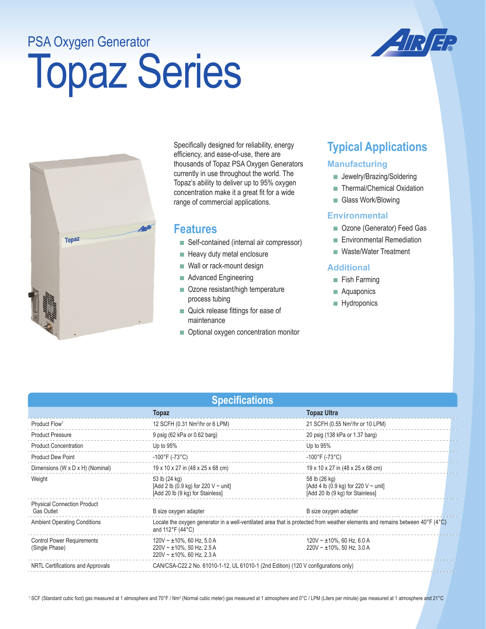## PSA Oxygen Generator

# Topaz Series





Specifically designed for reliability, energy efficiency, and ease-of-use, there are thousands of Topaz PSA Oxygen Generators currently in use throughout the world. The Topaz's ability to deliver up to 95% oxygen concentration make it a great fit for a wide range of commercial applications.

### **Features**

- Self-contained (internal air compressor)
- Heavy duty metal enclosure
- Wall or rack-mount design
- Advanced Engineering
- Ozone resistant/high temperature process tubing
- Quick release fittings for ease of maintenance
- Optional oxygen concentration monitor

## **Typical Applications**

#### **Manufacturing**

- Jewelry/Brazing/Soldering
- Thermal/Chemical Oxidation
- Glass Work/Blowing

#### **Environmental**

- Ozone (Generator) Feed Gas
- Environmental Remediation
- Waste/Water Treatment

#### **Additional**

- Fish Farming
- Aquaponics
- Hydroponics

| <b>Specifications</b>                                   |                                                                                                                                                  |                                                                                                |
|---------------------------------------------------------|--------------------------------------------------------------------------------------------------------------------------------------------------|------------------------------------------------------------------------------------------------|
|                                                         | <b>Topaz</b>                                                                                                                                     | <b>Topaz Ultra</b>                                                                             |
| Product Flow <sup>1</sup>                               | 12 SCFH (0.31 Nm <sup>3</sup> /hr or 6 LPM)                                                                                                      | 21 SCFH (0.55 Nm <sup>3</sup> /hr or 10 LPM)                                                   |
| <b>Product Pressure</b>                                 | 9 psig (62 kPa or 0.62 barg)                                                                                                                     | 20 psig (138 kPa or 1.37 barg)                                                                 |
| <b>Product Concentration</b>                            | Up to $95%$                                                                                                                                      | Up to 95%                                                                                      |
| <b>Product Dew Point</b>                                | $-100^{\circ}$ F (-73 $^{\circ}$ C)                                                                                                              | $-100^{\circ}$ F (-73 $^{\circ}$ C)                                                            |
| Dimensions (W x D x H) (Nominal)                        | 19 x 10 x 27 in (48 x 25 x 68 cm)                                                                                                                | 19 x 10 x 27 in (48 x 25 x 68 cm)                                                              |
| Weight                                                  | 53 lb (24 kg)<br>[Add 2 lb (0.9 kg) for 220 $V \sim$ unit]<br>[Add 20 lb (9 kg) for Stainless]                                                   | 58 lb (26 kg)<br>[Add 4 lb (0.9 kg) for 220 V $\sim$ unit]<br>[Add 20 lb (9 kg) for Stainless] |
| <b>Physical Connection Product</b><br><b>Gas Outlet</b> | B size oxygen adapter                                                                                                                            | B size oxygen adapter                                                                          |
| <b>Ambient Operating Conditions</b>                     | Locate the oxygen generator in a well-ventilated area that is protected from weather elements and remains between 40°F (4°C)<br>and 112°F (44°C) |                                                                                                |
| <b>Control Power Requirements</b><br>(Single Phase)     | $120V \sim \pm 10\%$ , 60 Hz, 5.0 A<br>$220V \sim \pm 10\%$ , 50 Hz, 2.5 A<br>$220V \sim \pm 10\%$ , 60 Hz, 2.3 A                                | $120V \sim \pm 10\%$ , 60 Hz, 6.0 A<br>$220V \sim \pm 10\%$ . 50 Hz. 3.0 A                     |
| NRTL Certifications and Approvals                       | CAN/CSA-C22.2 No. 61010-1-12, UL 61010-1 (2nd Edition) (120 V configurations only)                                                               |                                                                                                |

<sup>1</sup> SCF (Standard cubic foot) gas measured at 1 atmosphere and 70°F / Nm3 (Normal cubic meter) gas measured at 1 atmosphere and per minute) gas measured at 1 atmosphere and 21°C